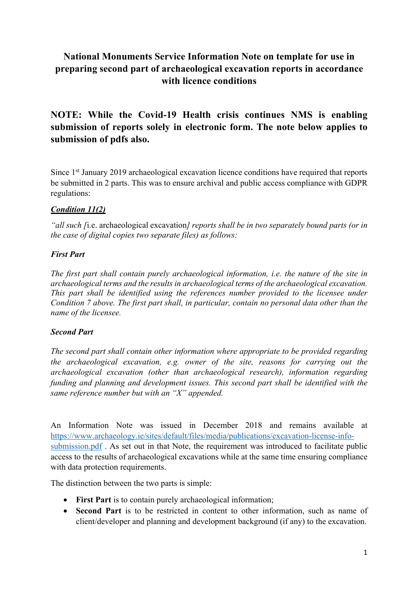## **National Monuments Service Information Note on template for use in preparing second part of archaeological excavation reports in accordance with licence conditions**

# **NOTE: While the Covid-19 Health crisis continues NMS is enabling submission of reports solely in electronic form. The note below applies to submission of pdfs also.**

Since 1<sup>st</sup> January 2019 archaeological excavation licence conditions have required that reports be submitted in 2 parts. This was to ensure archival and public access compliance with GDPR regulations:

## *Condition 11(2)*

*"all such [*i.e. archaeological excavation*] reports shall be in two separately bound parts (or in the case of digital copies two separate files) as follows:* 

### *First Part*

*The first part shall contain purely archaeological information, i.e. the nature of the site in archaeological terms and the results in archaeological terms of the archaeological excavation. This part shall be identified using the references number provided to the licensee under Condition 7 above. The first part shall, in particular, contain no personal data other than the name of the licensee.* 

### *Second Part*

*The second part shall contain other information where appropriate to be provided regarding the archaeological excavation, e.g. owner of the site, reasons for carrying out the archaeological excavation (other than archaeological research), information regarding funding and planning and development issues. This second part shall be identified with the same reference number but with an "X" appended.*

An Information Note was issued in December 2018 and remains available at https://www.archaeology.ie/sites/default/files/media/publications/excavation-license-infosubmission.pdf. As set out in that Note, the requirement was introduced to facilitate public access to the results of archaeological excavations while at the same time ensuring compliance with data protection requirements.

The distinction between the two parts is simple:

- **First Part** is to contain purely archaeological information;
- **Second Part** is to be restricted in content to other information, such as name of client/developer and planning and development background (if any) to the excavation.